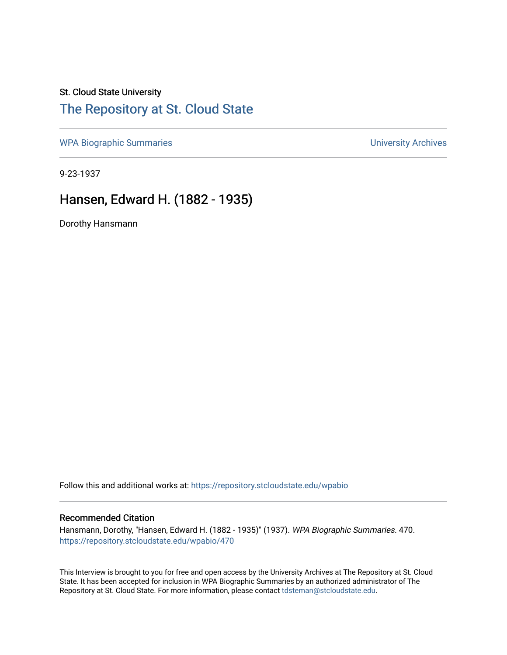## St. Cloud State University [The Repository at St. Cloud State](https://repository.stcloudstate.edu/)

[WPA Biographic Summaries](https://repository.stcloudstate.edu/wpabio) **WPA Biographic Summaries University Archives** 

9-23-1937

## Hansen, Edward H. (1882 - 1935)

Dorothy Hansmann

Follow this and additional works at: [https://repository.stcloudstate.edu/wpabio](https://repository.stcloudstate.edu/wpabio?utm_source=repository.stcloudstate.edu%2Fwpabio%2F470&utm_medium=PDF&utm_campaign=PDFCoverPages) 

## Recommended Citation

Hansmann, Dorothy, "Hansen, Edward H. (1882 - 1935)" (1937). WPA Biographic Summaries. 470. [https://repository.stcloudstate.edu/wpabio/470](https://repository.stcloudstate.edu/wpabio/470?utm_source=repository.stcloudstate.edu%2Fwpabio%2F470&utm_medium=PDF&utm_campaign=PDFCoverPages) 

This Interview is brought to you for free and open access by the University Archives at The Repository at St. Cloud State. It has been accepted for inclusion in WPA Biographic Summaries by an authorized administrator of The Repository at St. Cloud State. For more information, please contact [tdsteman@stcloudstate.edu.](mailto:tdsteman@stcloudstate.edu)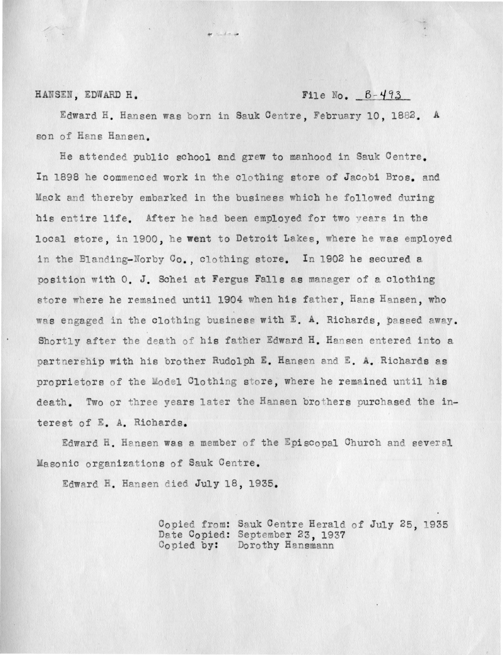## File No.  $B-493$

HANSEN, EDWARD H.

Edward H. Hansen was born in Sauk Centre, February 10, 1882. A son of Hans Hansen.

 $\lambda$  . And the set

He attended public school and grew to manhood in Sauk Centre. In 1898 he commenced work in the clothing store of Jacobi Bros, and Mack and thereby embarked in the business which he followed during his entire life. After he had been employed for two vears in the local store, in 1900, he went to Detroit Lakes, where he was employed in the Blanding-Norby Co., clothing store. In 1902 he secured a position with 0. J. Schei at Fergus Falls as manager of a clothing store where he remained until 1904 when his father, Hans Hansen, who was engaged in the clothing business with E. A. Richards, passed away. Shortly after the death of his father Edward H. Hansen entered into a partnership with his brother Rudolph E. Hansen and E. A. Richards as proprietors of the Model Clothing store, where he remained until his death. Two or three years later the Hansen brothers purchased the interest of E. A. Richards.

Edward H. Hansen was a member of the Episcopal Church and several Masonic organizations of Sauk Centre.

Edward H. Hansen died July 18, 1935.

Copied from: Sauk Centre Herald of July 25, 1935 Date Copied: September 23, 1937 Copied by: Dorothy Hansmann